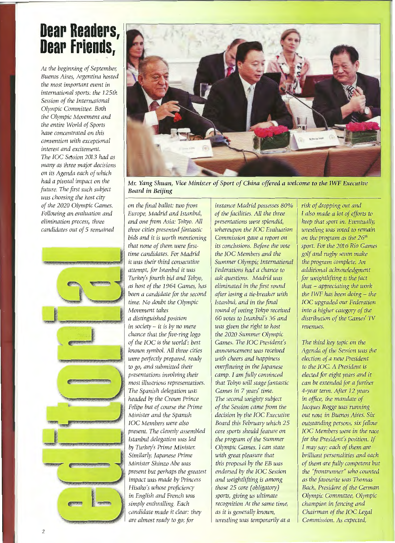## **Dear Readers,<br>Dear Friends,**

*At the beginning of September, Buenos Aires, Argentína hosted the most important event in intemational sports: the 125th Session of the Intemational Olympic Committee. Both the Olympic Movement and the entire World of Sports have concentrated on this convention with exceptional interest and excitement. The IOC Se5sion 2013 had as many as three major decisions on its Agenda each of which had a pivotal impact on the future. The first such subject was choosing the host city of the 2020 Olympic Games. Following an evaluation and elimination process, three candidates out of 5 remained* 





*Mr. Yang Shuan, Vice Minister of Sport of China offered a welcome to the IWF Executive Board in Beijing* 

*on the final ballot: two from* instance Madrid possesses 80% risk of dropping out and <br>
<u>Europe, Madrid and Istanbul,</u> of the facilities. All the three I also made a lot of efforts to *Europe, Madrid and Istanbul,* and one from Asia: Tokyo. All **presentations were splendid**, keep that sport in. Eventually, three cities presented fantastic whereupon the IOC Evaluation wrestling was voted to remain *bids and it is worth mentioning Commission gave a report on*  $\theta$  *on the program as the 26<sup>th</sup> that none of them were first- its conclusions. Before the vote* sport. For the 2016 Rio Games time candidates. For Madrid the IOC Members and the solf and rugby seven make *time candidates. For Madrid* the IOC Members and the golf and rugby seven make it was their third consecutive summer Olympic International the program complete. An *it was their third consecutive* Summer Olympic International *attempt, for Istanbul it was Federations had a chance to additional acknowledgment Turkey's fourth bid and Tokyo, ask questions. Madrid was for weightlifting is the fact as host of the 1964 Games, has* eliminated in the first round that – appreciating the work been a candidate for the second after losing a tie-breaker with the IWF has been doing – the *been a candidate for the second* after losing a tie-breaker with time. No doubt the Olympic *Istanbul, and in the final Movement takes round of voting Tokyo received into a higher category of the* 

 $\frac{d}{dx}$  *in society – it is by no mere* was given the right to host revenues. *chance that the five-ring logo* the 2020 Summer Olympic *of the IOC is the world's best* Games. The IOC President's The third key topic on the <br>
known symbol. All three cities announcement was received Agenda of the Session was the *known symbol. All three cities* announcement was received Agenda of the Session was the event of a new President and *happiness* election of a new President *were perfectly prepared, ready to go, and submitted their* overflowing in the Japanese to the IOC. A President is presentations involving their camp. I am fully convinced elected for eight years and it *presentations involving their* camp. I am fully convinced *most illustrious representatives.* that Tokyo will stage fantastic can be extended for a further *The Spanish delegation was* Games in 7 *years' time.* 4-year term. After 12 *years headed by the Crown Prince The second weighty subject in office, the mandate of headed by the Crown Prince* The second weighty subject *Felipe but of course the Prime*  $\int$  *of the Session came from the*  $\int$  *Jacques Rogge was running Minister and the Spanish decision by the IOC Executive out now in Buenos Aires. Six IOC Members were also* Board this February which 25 outstanding persons, six fellow present. The cleverly assembled core sports should feature on **IOC Members were in the race** *Istanbul delegation was led* the program of the Summer for the President's position. If *by Turkey's Prime Minister. Olympic Games. I can state I may say: each of them are present but perhaps the greatest* endorsed by the IOC Session the "frontrunner" who counted impact was Thomas *impact was made by Princess and weightlifting is among in English and French was* sports, giving us ultimate Olympic Committee, Olympic *simply enthralling. Bach recognition At the same time, champion in fencing and candidate made it clear: they* as it is generally known, Chairman of the IOC Legal

whereupon the IOC Evaluation *a distinguished position 60 votes to Istanbul's 36 and distribution of the Games' TV are almost ready to go; for wrestling was temporarily at a Commission. As expected,* 

*time. No doubt the Olympic Istanbul, and ín the final IOC upgraded our Federation* 

*present. The cleverly assembled core sports should feature on IOC Members were in the race Similarly, Japanese Prime* with great pleasure that **brilliant personalities and each** *Minister Shinzo Abe was* this proposal by the EB was of them are fully competent but present but present but present but present but  $\frac{1}{2}$  of them are fully competent but **present** but  $\frac{1}{2}$  of them are fully comp *Hisako's whose proficiency* those 25 core (obligatory) Bach, President of the German in English and French was sports, giving us ultimate Olympic Committee, Olympic